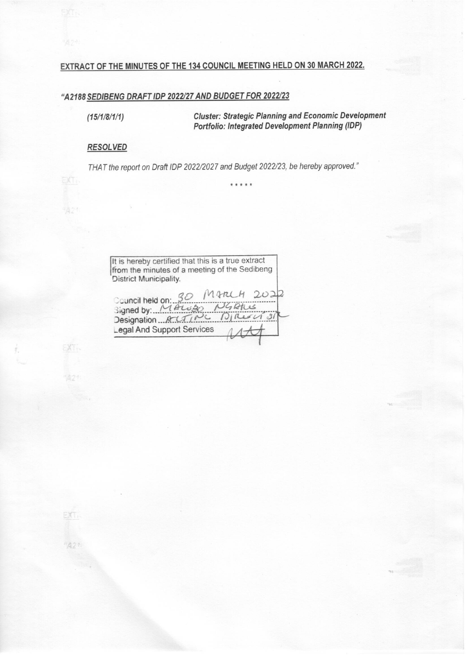# EXTRACT OF THE MINUTES OF THE 134 COUNCIL MEETING HELD ON 30 MARCH 2022.

# "A2188 SEDIBENG DRAFT IDP 2022/27 AND BUDGET FOR 2022/23

 $(15/1/8/1/1)$ 

**Cluster: Strategic Planning and Economic Development Portfolio: Integrated Development Planning (IDP)** 

### **RESOLVED**

EXT.

'A21

EXT.

THAT the report on Draft IDP 2022/2027 and Budget 2022/23, be hereby approved."

\* \* \* \* \*

It is hereby certified that this is a true extract from the minutes of a meeting of the Sedibeng District Municipality. Council held on: 30 M ARL<br>Signed by: MALUBO NG  $2022$ Designation AUTING DIRE Legal And Support Services

"A21

EXT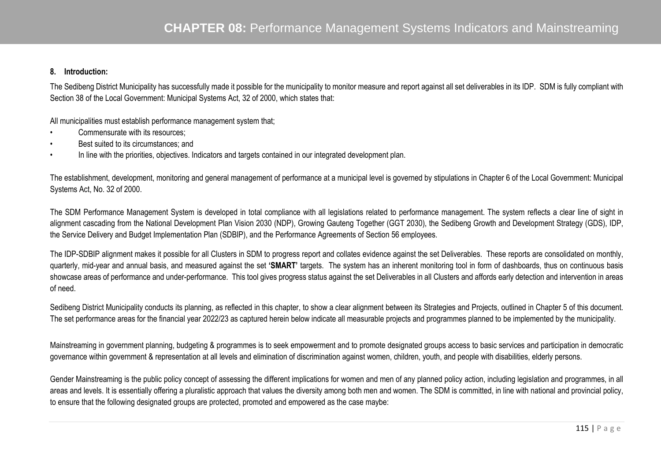## **8. Introduction:**

The Sedibeng District Municipality has successfully made it possible for the municipality to monitor measure and report against all set deliverables in its IDP. SDM is fully compliant with Section 38 of the Local Government: Municipal Systems Act, 32 of 2000, which states that:

All municipalities must establish performance management system that;

- •Commensurate with its resources;
- •Best suited to its circumstances; and
- •In line with the priorities, objectives. Indicators and targets contained in our integrated development plan.

The establishment, development, monitoring and general management of performance at a municipal level is governed by stipulations in Chapter 6 of the Local Government: Municipal Systems Act, No. 32 of 2000.

The SDM Performance Management System is developed in total compliance with all legislations related to performance management. The system reflects a clear line of sight in alignment cascading from the National Development Plan Vision 2030 (NDP), Growing Gauteng Together (GGT 2030), the Sedibeng Growth and Development Strategy (GDS), IDP, the Service Delivery and Budget Implementation Plan (SDBIP), and the Performance Agreements of Section 56 employees.

The IDP-SDBIP alignment makes it possible for all Clusters in SDM to progress report and collates evidence against the set Deliverables. These reports are consolidated on monthly, quarterly, mid-year and annual basis, and measured against the set **'SMART'** targets. The system has an inherent monitoring tool in form of dashboards, thus on continuous basis showcase areas of performance and under-performance. This tool gives progress status against the set Deliverables in all Clusters and affords early detection and intervention in areas of need.

Sedibeng District Municipality conducts its planning, as reflected in this chapter, to show a clear alignment between its Strategies and Projects, outlined in Chapter 5 of this document. The set performance areas for the financial year 2022/23 as captured herein below indicate all measurable projects and programmes planned to be implemented by the municipality.

Mainstreaming in government planning, budgeting & programmes is to seek empowerment and to promote designated groups access to basic services and participation in democratic governance within government & representation at all levels and elimination of discrimination against women, children, youth, and people with disabilities, elderly persons.

Gender Mainstreaming is the public policy concept of assessing the different implications for women and men of any planned policy action, including legislation and programmes, in all areas and levels. It is essentially offering a pluralistic approach that values the diversity among both men and women. The SDM is committed, in line with national and provincial policy, to ensure that the following designated groups are protected, promoted and empowered as the case maybe: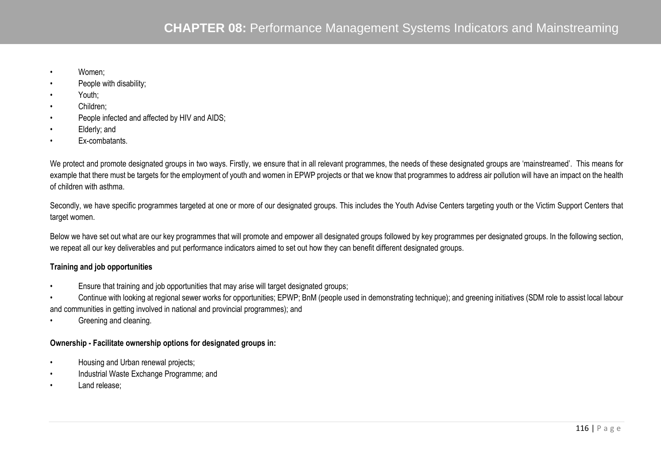- •Women;
- •People with disability;
- •Youth;
- •Children;
- •People infected and affected by HIV and AIDS;
- •Elderly; and
- •Ex-combatants.

We protect and promote designated groups in two ways. Firstly, we ensure that in all relevant programmes, the needs of these designated groups are 'mainstreamed'. This means for example that there must be targets for the employment of youth and women in EPWP projects or that we know that programmes to address air pollution will have an impact on the health of children with asthma.

Secondly, we have specific programmes targeted at one or more of our designated groups. This includes the Youth Advise Centers targeting youth or the Victim Support Centers that target women.

Below we have set out what are our key programmes that will promote and empower all designated groups followed by key programmes per designated groups. In the following section, we repeat all our key deliverables and put performance indicators aimed to set out how they can benefit different designated groups.

# **Training and job opportunities**

- •Ensure that training and job opportunities that may arise will target designated groups;
- • Continue with looking at regional sewer works for opportunities; EPWP; BnM (people used in demonstrating technique); and greening initiatives (SDM role to assist local labour and communities in getting involved in national and provincial programmes); and
- •Greening and cleaning.

# **Ownership - Facilitate ownership options for designated groups in:**

- •Housing and Urban renewal projects;
- •Industrial Waste Exchange Programme; and
- •Land release;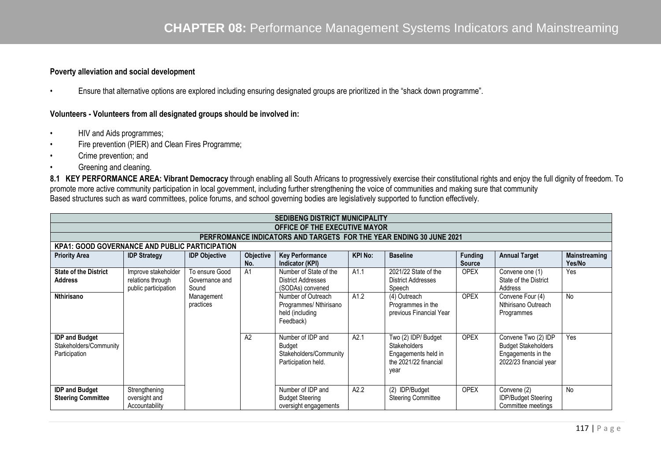## **Poverty alleviation and social development**

•Ensure that alternative options are explored including ensuring designated groups are prioritized in the "shack down programme".

## **Volunteers - Volunteers from all designated groups should be involved in:**

- •HIV and Aids programmes;
- •Fire prevention (PIER) and Clean Fires Programme;
- •Crime prevention; and
- •Greening and cleaning.

8.1 KEY PERFORMANCE AREA: Vibrant Democracy through enabling all South Africans to progressively exercise their constitutional rights and enjoy the full dignity of freedom. To promote more active community participation in local government, including further strengthening the voice of communities and making sure that community Based structures such as ward committees, police forums, and school governing bodies are legislatively supported to function effectively.

|                                                                            |                                                                  |                                           |                    | <b>SEDIBENG DISTRICT MUNICIPALITY</b>                                               |                |                                                                                                    |                                 |                                                                                                   |                         |  |  |  |  |  |
|----------------------------------------------------------------------------|------------------------------------------------------------------|-------------------------------------------|--------------------|-------------------------------------------------------------------------------------|----------------|----------------------------------------------------------------------------------------------------|---------------------------------|---------------------------------------------------------------------------------------------------|-------------------------|--|--|--|--|--|
|                                                                            | <b>OFFICE OF THE EXECUTIVE MAYOR</b>                             |                                           |                    |                                                                                     |                |                                                                                                    |                                 |                                                                                                   |                         |  |  |  |  |  |
| <b>PERFROMANCE INDICATORS AND TARGETS FOR THE YEAR ENDING 30 JUNE 2021</b> |                                                                  |                                           |                    |                                                                                     |                |                                                                                                    |                                 |                                                                                                   |                         |  |  |  |  |  |
| <b>KPA1: GOOD GOVERNANCE AND PUBLIC PARTICIPATION</b>                      |                                                                  |                                           |                    |                                                                                     |                |                                                                                                    |                                 |                                                                                                   |                         |  |  |  |  |  |
| <b>Priority Area</b>                                                       | <b>IDP Strategy</b>                                              | <b>IDP Objective</b>                      | Objective  <br>No. | <b>Key Performance</b><br>Indicator (KPI)                                           | <b>KPI No:</b> | <b>Baseline</b>                                                                                    | <b>Funding</b><br><b>Source</b> | <b>Annual Target</b>                                                                              | Mainstreaming<br>Yes/No |  |  |  |  |  |
| <b>State of the District</b><br><b>Address</b>                             | Improve stakeholder<br>relations through<br>public participation | To ensure Good<br>Governance and<br>Sound | A <sub>1</sub>     | Number of State of the<br><b>District Addresses</b><br>(SODAs) convened             | A1.1           | 2021/22 State of the<br><b>District Addresses</b><br>Speech                                        | <b>OPEX</b>                     | Convene one (1)<br>State of the District<br>Address                                               | Yes                     |  |  |  |  |  |
| Nthirisano                                                                 |                                                                  | Management<br>practices                   |                    | Number of Outreach<br>Programmes/ Nthirisano<br>held (including<br>Feedback)        | A1.2           | (4) Outreach<br>Programmes in the<br>previous Financial Year                                       | <b>OPEX</b>                     | Convene Four (4)<br>Nthirisano Outreach<br>Programmes                                             | <b>No</b>               |  |  |  |  |  |
| <b>IDP and Budget</b><br>Stakeholders/Community<br>Participation           |                                                                  |                                           | A2                 | Number of IDP and<br><b>Budget</b><br>Stakeholders/Community<br>Participation held. | A2.1           | Two (2) IDP/ Budget<br><b>Stakeholders</b><br>Engagements held in<br>the 2021/22 financial<br>year | <b>OPEX</b>                     | Convene Two (2) IDP<br><b>Budget Stakeholders</b><br>Engagements in the<br>2022/23 financial year | Yes                     |  |  |  |  |  |
| <b>IDP and Budget</b><br><b>Steering Committee</b>                         | Strengthening<br>oversight and<br>Accountability                 |                                           |                    | Number of IDP and<br><b>Budget Steering</b><br>oversight engagements                | A2.2           | (2) IDP/Budget<br><b>Steering Committee</b>                                                        | <b>OPEX</b>                     | Convene (2)<br><b>IDP/Budget Steering</b><br>Committee meetings                                   | No                      |  |  |  |  |  |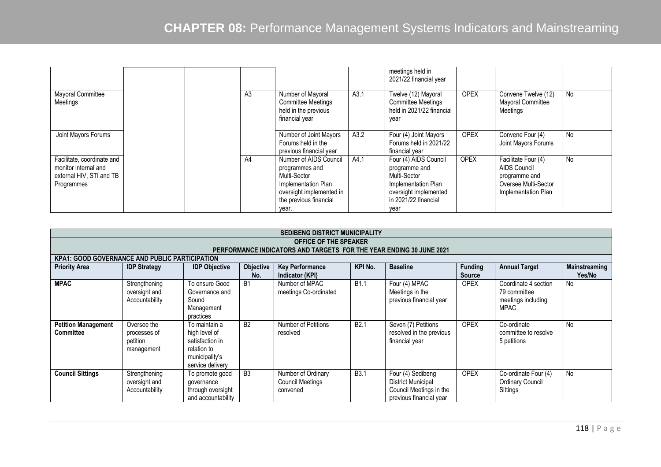|                                                                                              |  |                |                                                                                                                                                |      | meetings held in<br>2021/22 financial year                                                                                             |             |                                                                                                            |    |
|----------------------------------------------------------------------------------------------|--|----------------|------------------------------------------------------------------------------------------------------------------------------------------------|------|----------------------------------------------------------------------------------------------------------------------------------------|-------------|------------------------------------------------------------------------------------------------------------|----|
| Mayoral Committee<br>Meetings                                                                |  | A <sub>3</sub> | Number of Mayoral<br><b>Committee Meetings</b><br>held in the previous<br>financial year                                                       | A3.1 | Twelve (12) Mayoral<br><b>Committee Meetings</b><br>held in 2021/22 financial<br>year                                                  | <b>OPEX</b> | Convene Twelve (12)<br>Mayoral Committee<br>Meetings                                                       | No |
| Joint Mayors Forums                                                                          |  |                | Number of Joint Mayors<br>Forums held in the<br>previous financial year                                                                        | A3.2 | Four (4) Joint Mayors<br>Forums held in 2021/22<br>financial year                                                                      | <b>OPEX</b> | Convene Four (4)<br>Joint Mayors Forums                                                                    | No |
| Facilitate, coordinate and<br>monitor internal and<br>external HIV, STI and TB<br>Programmes |  | A4             | Number of AIDS Council<br>programmes and<br>Multi-Sector<br>Implementation Plan<br>oversight implemented in<br>the previous financial<br>year. | A4.1 | Four (4) AIDS Council<br>programme and<br>Multi-Sector<br>Implementation Plan<br>oversight implemented<br>in 2021/22 financial<br>year | <b>OPEX</b> | Facilitate Four (4)<br><b>AIDS Council</b><br>programme and<br>Oversee Multi-Sector<br>Implementation Plan | No |

|                                                                     | <b>SEDIBENG DISTRICT MUNICIPALITY</b>                                                                                                                                                                                                   |                                                                                                        |                |                                                    |                  |                                                                                                      |             |                                                                           |    |  |  |  |  |  |
|---------------------------------------------------------------------|-----------------------------------------------------------------------------------------------------------------------------------------------------------------------------------------------------------------------------------------|--------------------------------------------------------------------------------------------------------|----------------|----------------------------------------------------|------------------|------------------------------------------------------------------------------------------------------|-------------|---------------------------------------------------------------------------|----|--|--|--|--|--|
|                                                                     | <b>OFFICE OF THE SPEAKER</b>                                                                                                                                                                                                            |                                                                                                        |                |                                                    |                  |                                                                                                      |             |                                                                           |    |  |  |  |  |  |
| PERFORMANCE INDICATORS AND TARGETS FOR THE YEAR ENDING 30 JUNE 2021 |                                                                                                                                                                                                                                         |                                                                                                        |                |                                                    |                  |                                                                                                      |             |                                                                           |    |  |  |  |  |  |
| <b>KPA1: GOOD GOVERNANCE AND PUBLIC PARTICIPATION</b>               |                                                                                                                                                                                                                                         |                                                                                                        |                |                                                    |                  |                                                                                                      |             |                                                                           |    |  |  |  |  |  |
| <b>Priority Area</b>                                                | KPI No.<br><b>Baseline</b><br><b>Funding</b><br>Objective<br><b>Key Performance</b><br><b>Annual Target</b><br><b>IDP Strategy</b><br><b>IDP Objective</b><br><b>Mainstreaming</b><br>No.<br>Indicator (KPI)<br>Yes/No<br><b>Source</b> |                                                                                                        |                |                                                    |                  |                                                                                                      |             |                                                                           |    |  |  |  |  |  |
| <b>MPAC</b>                                                         | Strengthening<br>oversight and<br>Accountability                                                                                                                                                                                        | To ensure Good<br>Governance and<br>Sound<br>Management<br>practices                                   | <b>B1</b>      | Number of MPAC<br>meetings Co-ordinated            | <b>B1.1</b>      | Four (4) MPAC<br>Meetings in the<br>previous financial year                                          | <b>OPEX</b> | Coordinate 4 section<br>79 committee<br>meetings including<br><b>MPAC</b> | No |  |  |  |  |  |
| <b>Petition Management</b><br>Committee                             | Oversee the<br>processes of<br>petition<br>management                                                                                                                                                                                   | To maintain a<br>high level of<br>satisfaction in<br>relation to<br>municipality's<br>service delivery | B <sub>2</sub> | Number of Petitions<br>resolved                    | B <sub>2.1</sub> | Seven (7) Petitions<br>resolved in the previous<br>financial year                                    | <b>OPEX</b> | Co-ordinate<br>committee to resolve<br>5 petitions                        | No |  |  |  |  |  |
| <b>Council Sittings</b>                                             | Strengthening<br>oversight and<br>Accountability                                                                                                                                                                                        | To promote good<br>qovernance<br>through oversight<br>and accountability                               | B <sub>3</sub> | Number of Ordinary<br>Council Meetings<br>convened | <b>B3.1</b>      | Four (4) Sedibeng<br><b>District Municipal</b><br>Council Meetings in the<br>previous financial year | <b>OPEX</b> | Co-ordinate Four (4)<br><b>Ordinary Council</b><br>Sittings               | No |  |  |  |  |  |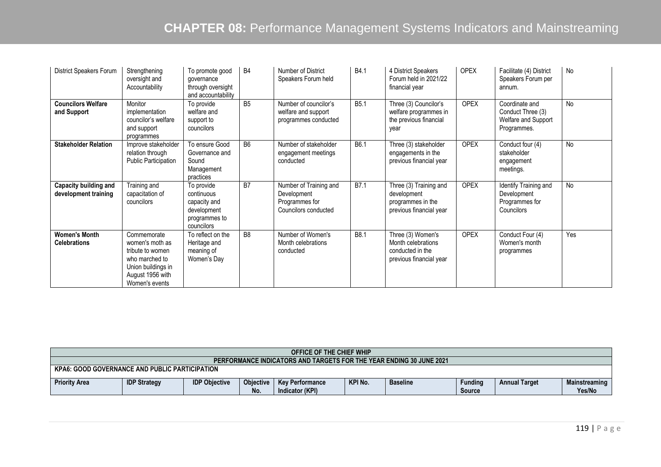| <b>District Speakers Forum</b>                | Strengthening<br>oversight and<br>Accountability                                                                                 | To promote good<br>qovernance<br>through oversight<br>and accountability               | <b>B4</b>      | Number of District<br>Speakers Forum held                                       | B4.1             | 4 District Speakers<br>Forum held in 2021/22<br>financial year                         | <b>OPEX</b> | Facilitate (4) District<br>Speakers Forum per<br>annum.                   | No        |
|-----------------------------------------------|----------------------------------------------------------------------------------------------------------------------------------|----------------------------------------------------------------------------------------|----------------|---------------------------------------------------------------------------------|------------------|----------------------------------------------------------------------------------------|-------------|---------------------------------------------------------------------------|-----------|
| <b>Councilors Welfare</b><br>and Support      | Monitor<br>implementation<br>councilor's welfare<br>and support<br>programmes                                                    | To provide<br>welfare and<br>support to<br>councilors                                  | B5             | Number of councilor's<br>welfare and support<br>programmes conducted            | B <sub>5.1</sub> | Three (3) Councilor's<br>welfare programmes in<br>the previous financial<br>year       | <b>OPEX</b> | Coordinate and<br>Conduct Three (3)<br>Welfare and Support<br>Programmes. | <b>No</b> |
| <b>Stakeholder Relation</b>                   | Improve stakeholder<br>relation through<br><b>Public Participation</b>                                                           | To ensure Good<br>Governance and<br>Sound<br>Management<br>practices                   | <b>B6</b>      | Number of stakeholder<br>engagement meetings<br>conducted                       | B6.1             | Three (3) stakeholder<br>engagements in the<br>previous financial year                 | <b>OPEX</b> | Conduct four (4)<br>stakeholder<br>engagement<br>meetings.                | No        |
| Capacity building and<br>development training | Training and<br>capacitation of<br>councilors                                                                                    | To provide<br>continuous<br>capacity and<br>development<br>programmes to<br>councilors | B <sub>7</sub> | Number of Training and<br>Development<br>Programmes for<br>Councilors conducted | B7.1             | Three (3) Training and<br>development<br>programmes in the<br>previous financial year  | <b>OPEX</b> | Identify Training and<br>Development<br>Programmes for<br>Councilors      | No        |
| <b>Women's Month</b><br><b>Celebrations</b>   | Commemorate<br>women's moth as<br>tribute to women<br>who marched to<br>Union buildings in<br>August 1956 with<br>Women's events | To reflect on the<br>Heritage and<br>meaning of<br>Women's Day                         | B <sub>8</sub> | Number of Women's<br>Month celebrations<br>conducted                            | B8.1             | Three (3) Women's<br>Month celebrations<br>conducted in the<br>previous financial year | <b>OPEX</b> | Conduct Four (4)<br>Women's month<br>programmes                           | Yes       |

|                                                                                                                                                                                                                                                          | <b>OFFICE OF THE CHIEF WHIP</b>                       |  |  |  |  |  |  |  |  |  |  |
|----------------------------------------------------------------------------------------------------------------------------------------------------------------------------------------------------------------------------------------------------------|-------------------------------------------------------|--|--|--|--|--|--|--|--|--|--|
| <b>PERFORMANCE INDICATORS AND TARGETS FOR THE YEAR ENDING 30 JUNE 2021</b>                                                                                                                                                                               |                                                       |  |  |  |  |  |  |  |  |  |  |
|                                                                                                                                                                                                                                                          | <b>KPA6: GOOD GOVERNANCE AND PUBLIC PARTICIPATION</b> |  |  |  |  |  |  |  |  |  |  |
| KPI No.<br><b>Priority Area</b><br><b>Objective</b><br><b>IDP Strategy</b><br><b>IDP Objective</b><br>Funding<br><b>Key Performance</b><br><b>Annual Target</b><br>Mainstreaming<br><b>Baseline</b><br>No.<br>Indicator (KPI)<br>Yes/No<br><b>Source</b> |                                                       |  |  |  |  |  |  |  |  |  |  |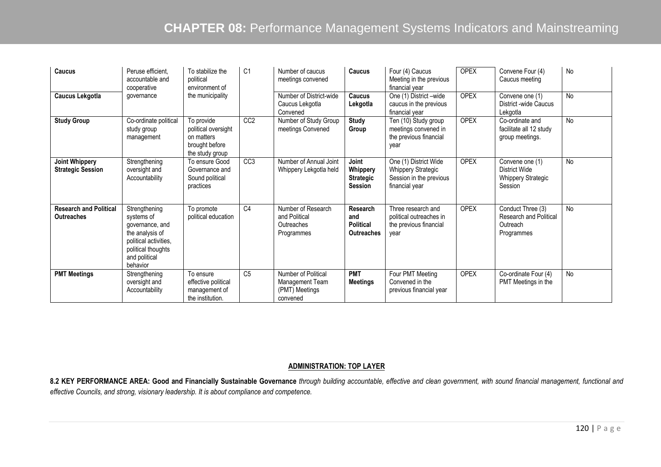| Caucus                                             | Peruse efficient.<br>accountable and<br>cooperative                                                                                           | To stabilize the<br>political<br>environment of                                      | C <sub>1</sub>  | Number of caucus<br>meetings convened                                | Caucus                                                   | Four (4) Caucus<br>Meeting in the previous<br>financial year                                    | <b>OPEX</b> | Convene Four (4)<br>Caucus meeting                                           | No        |
|----------------------------------------------------|-----------------------------------------------------------------------------------------------------------------------------------------------|--------------------------------------------------------------------------------------|-----------------|----------------------------------------------------------------------|----------------------------------------------------------|-------------------------------------------------------------------------------------------------|-------------|------------------------------------------------------------------------------|-----------|
| <b>Caucus Lekgotla</b>                             | qovernance                                                                                                                                    | the municipality                                                                     |                 | Number of District-wide<br>Caucus Lekgotla<br>Convened               | Caucus<br>Lekgotla                                       | One (1) District -wide<br>caucus in the previous<br>financial year                              | <b>OPEX</b> | Convene one (1)<br>District -wide Caucus<br>Lekgotla                         | No        |
| <b>Study Group</b>                                 | Co-ordinate political<br>study group<br>management                                                                                            | To provide<br>political oversight<br>on matters<br>brought before<br>the study group | CC <sub>2</sub> | Number of Study Group<br>meetings Convened                           | <b>Study</b><br>Group                                    | Ten (10) Study group<br>meetings convened in<br>the previous financial<br>vear                  | <b>OPEX</b> | Co-ordinate and<br>facilitate all 12 study<br>group meetings.                | <b>No</b> |
| <b>Joint Whippery</b><br><b>Strategic Session</b>  | Strengthening<br>oversight and<br>Accountability                                                                                              | To ensure Good<br>Governance and<br>Sound political<br>practices                     | CC <sub>3</sub> | Number of Annual Joint<br>Whippery Lekgotla held                     | Joint<br>Whippery<br><b>Strategic</b><br><b>Session</b>  | One (1) District Wide<br><b>Whippery Strategic</b><br>Session in the previous<br>financial year | <b>OPEX</b> | Convene one (1)<br>District Wide<br><b>Whippery Strategic</b><br>Session     | <b>No</b> |
| <b>Research and Political</b><br><b>Outreaches</b> | Strengthening<br>systems of<br>governance, and<br>the analysis of<br>political activities,<br>political thoughts<br>and political<br>behavior | To promote<br>political education                                                    | $\overline{C4}$ | Number of Research<br>and Political<br>Outreaches<br>Programmes      | Research<br>and<br><b>Political</b><br><b>Outreaches</b> | Three research and<br>political outreaches in<br>the previous financial<br>year                 | <b>OPEX</b> | Conduct Three (3)<br><b>Research and Political</b><br>Outreach<br>Programmes | No        |
| <b>PMT Meetings</b>                                | Strengthening<br>oversight and<br>Accountability                                                                                              | To ensure<br>effective political<br>management of<br>the institution.                | C <sub>5</sub>  | Number of Political<br>Management Team<br>(PMT) Meetings<br>convened | <b>PMT</b><br><b>Meetings</b>                            | Four PMT Meeting<br>Convened in the<br>previous financial year                                  | <b>OPEX</b> | Co-ordinate Four (4)<br>PMT Meetings in the                                  | No        |

### **ADMINISTRATION: TOP LAYER**

**8.2 KEY PERFORMANCE AREA: Good and Financially Sustainable Governance** *through building accountable, effective and clean government, with sound financial management, functional and effective Councils, and strong, visionary leadership. It is about compliance and competence.*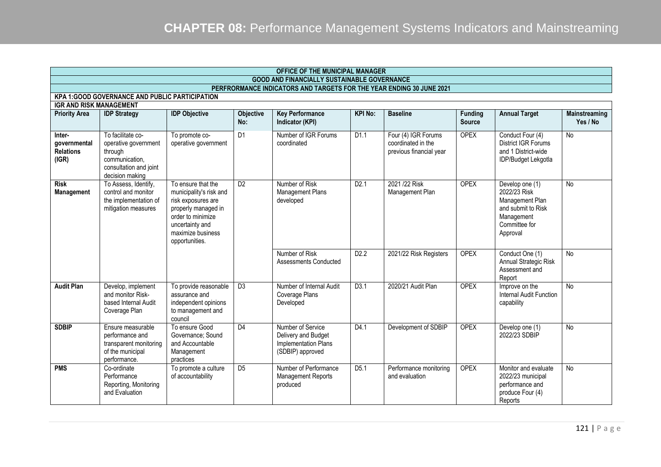|                                                                                         | OFFICE OF THE MUNICIPAL MANAGER                                                                                     |                                                                                                                                                                           |                  |                                                                                      |                  |                                                                      |                                 |                                                                                                                     |                           |  |  |  |
|-----------------------------------------------------------------------------------------|---------------------------------------------------------------------------------------------------------------------|---------------------------------------------------------------------------------------------------------------------------------------------------------------------------|------------------|--------------------------------------------------------------------------------------|------------------|----------------------------------------------------------------------|---------------------------------|---------------------------------------------------------------------------------------------------------------------|---------------------------|--|--|--|
|                                                                                         |                                                                                                                     |                                                                                                                                                                           |                  | <b>GOOD AND FINANCIALLY SUSTAINABLE GOVERNANCE</b>                                   |                  |                                                                      |                                 |                                                                                                                     |                           |  |  |  |
|                                                                                         |                                                                                                                     |                                                                                                                                                                           |                  | PERFRORMANCE INDICATORS AND TARGETS FOR THE YEAR ENDING 30 JUNE 2021                 |                  |                                                                      |                                 |                                                                                                                     |                           |  |  |  |
| <b>KPA 1:GOOD GOVERNANCE AND PUBLIC PARTICIPATION</b><br><b>IGR AND RISK MANAGEMENT</b> |                                                                                                                     |                                                                                                                                                                           |                  |                                                                                      |                  |                                                                      |                                 |                                                                                                                     |                           |  |  |  |
|                                                                                         |                                                                                                                     |                                                                                                                                                                           |                  |                                                                                      |                  |                                                                      |                                 |                                                                                                                     |                           |  |  |  |
| <b>Priority Area</b>                                                                    | <b>IDP Strategy</b>                                                                                                 | <b>IDP Objective</b>                                                                                                                                                      | Objective<br>No: | <b>Key Performance</b><br>Indicator (KPI)                                            | <b>KPI No:</b>   | <b>Baseline</b>                                                      | <b>Funding</b><br><b>Source</b> | <b>Annual Target</b>                                                                                                | Mainstreaming<br>Yes / No |  |  |  |
| Inter-<br>governmental<br><b>Relations</b><br>(IGR)                                     | To facilitate co-<br>operative government<br>through<br>communication,<br>consultation and joint<br>decision making | To promote co-<br>operative government                                                                                                                                    | D <sub>1</sub>   | Number of IGR Forums<br>coordinated                                                  | D1.1             | Four (4) IGR Forums<br>coordinated in the<br>previous financial year | <b>OPEX</b>                     | Conduct Four (4)<br><b>District IGR Forums</b><br>and 1 District-wide<br>IDP/Budget Lekgotla                        | <b>No</b>                 |  |  |  |
| <b>Risk</b><br>Management                                                               | To Assess, Identify,<br>control and monitor<br>the implementation of<br>mitigation measures                         | To ensure that the<br>municipality's risk and<br>risk exposures are<br>properly managed in<br>order to minimize<br>uncertainty and<br>maximize business<br>opportunities. | D2               | Number of Risk<br>Management Plans<br>developed                                      | D2.1             | 2021/22 Risk<br>Management Plan                                      | <b>OPEX</b>                     | Develop one (1)<br>2022/23 Risk<br>Management Plan<br>and submit to Risk<br>Management<br>Committee for<br>Approval | <b>No</b>                 |  |  |  |
|                                                                                         |                                                                                                                     |                                                                                                                                                                           |                  | Number of Risk<br>Assessments Conducted                                              | D <sub>2.2</sub> | 2021/22 Risk Registers                                               | <b>OPEX</b>                     | Conduct One (1)<br>Annual Strategic Risk<br>Assessment and<br>Report                                                | <b>No</b>                 |  |  |  |
| <b>Audit Plan</b>                                                                       | Develop, implement<br>and monitor Risk-<br>based Internal Audit<br>Coverage Plan                                    | To provide reasonable<br>assurance and<br>independent opinions<br>to management and<br>council                                                                            | $\overline{D3}$  | Number of Internal Audit<br>Coverage Plans<br>Developed                              | D <sub>3.1</sub> | 2020/21 Audit Plan                                                   | <b>OPEX</b>                     | Improve on the<br>Internal Audit Function<br>capability                                                             | <b>No</b>                 |  |  |  |
| <b>SDBIP</b>                                                                            | Ensure measurable<br>performance and<br>transparent monitoring<br>of the municipal<br>performance.                  | To ensure Good<br>Governance; Sound<br>and Accountable<br>Management<br>practices                                                                                         | D <sub>4</sub>   | Number of Service<br>Delivery and Budget<br>Implementation Plans<br>(SDBIP) approved | D4.1             | Development of SDBIP                                                 | <b>OPEX</b>                     | Develop one (1)<br>2022/23 SDBIP                                                                                    | <b>No</b>                 |  |  |  |
| <b>PMS</b>                                                                              | Co-ordinate<br>Performance<br>Reporting, Monitoring<br>and Evaluation                                               | To promote a culture<br>of accountability                                                                                                                                 | D <sub>5</sub>   | Number of Performance<br><b>Management Reports</b><br>produced                       | D5.1             | Performance monitoring<br>and evaluation                             | <b>OPEX</b>                     | Monitor and evaluate<br>2022/23 municipal<br>performance and<br>produce Four (4)<br>Reports                         | <b>No</b>                 |  |  |  |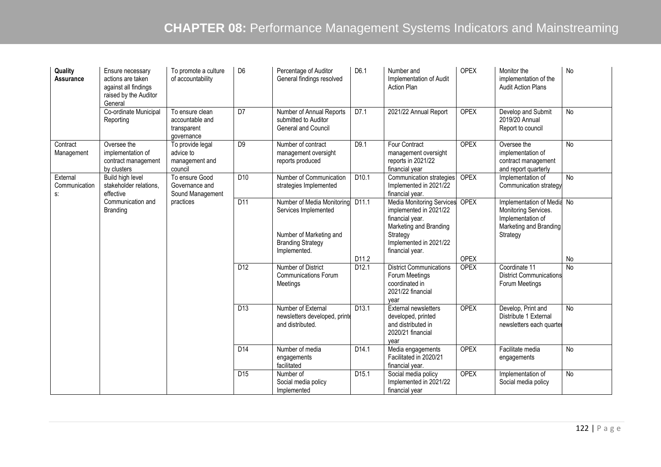| Quality<br>Assurance            | Ensure necessary<br>actions are taken<br>against all findings<br>raised by the Auditor<br>General | To promote a culture<br>of accountability                       | D <sub>6</sub>   | Percentage of Auditor<br>General findings resolved                                                                        | D6.1                       | Number and<br>Implementation of Audit<br><b>Action Plan</b>                                                                                                      | <b>OPEX</b>                | Monitor the<br>implementation of the<br><b>Audit Action Plans</b>                                             | No             |
|---------------------------------|---------------------------------------------------------------------------------------------------|-----------------------------------------------------------------|------------------|---------------------------------------------------------------------------------------------------------------------------|----------------------------|------------------------------------------------------------------------------------------------------------------------------------------------------------------|----------------------------|---------------------------------------------------------------------------------------------------------------|----------------|
|                                 | Co-ordinate Municipal<br>Reporting                                                                | To ensure clean<br>accountable and<br>transparent<br>qovernance | $\overline{D7}$  | Number of Annual Reports<br>submitted to Auditor<br><b>General and Council</b>                                            | D7.1                       | 2021/22 Annual Report                                                                                                                                            | <b>OPEX</b>                | Develop and Submit<br>2019/20 Annual<br>Report to council                                                     | No             |
| Contract<br>Management          | Oversee the<br>implementation of<br>contract management<br>by clusters                            | To provide legal<br>advice to<br>management and<br>council      | D <sub>9</sub>   | Number of contract<br>management oversight<br>reports produced                                                            | D <sub>9.1</sub>           | Four Contract<br>management oversight<br>reports in 2021/22<br>financial year                                                                                    | <b>OPEX</b>                | Oversee the<br>implementation of<br>contract management<br>and report quarterly                               | <b>No</b>      |
| External<br>Communication<br>s: | Build high level<br>stakeholder relations,<br>effective                                           | To ensure Good<br>Governance and<br>Sound Management            | D10              | Number of Communication<br>strategies Implemented                                                                         | D <sub>10.1</sub>          | Communication strategies<br>Implemented in 2021/22<br>financial year.                                                                                            | <b>OPEX</b>                | Implementation of<br>Communication strategy                                                                   | $\overline{N}$ |
|                                 | Communication and<br>Branding                                                                     | practices                                                       | DT11             | Number of Media Monitoring<br>Services Implemented<br>Number of Marketing and<br><b>Branding Strategy</b><br>Implemented. | D <sub>11.1</sub><br>D11.2 | <b>Media Monitoring Services</b><br>implemented in 2021/22<br>financial year.<br>Marketing and Branding<br>Strategy<br>Implemented in 2021/22<br>financial year. | <b>OPEX</b><br><b>OPEX</b> | Implementation of Media No<br>Monitoring Services.<br>Implementation of<br>Marketing and Branding<br>Strategy | No             |
|                                 |                                                                                                   |                                                                 | D <sub>12</sub>  | Number of District<br><b>Communications Forum</b><br>Meetings                                                             | D <sub>12.1</sub>          | <b>District Communications</b><br>Forum Meetings<br>coordinated in<br>2021/22 financial<br>year                                                                  | <b>OPEX</b>                | Coordinate 11<br><b>District Communications</b><br>Forum Meetings                                             | N <sub>o</sub> |
|                                 |                                                                                                   |                                                                 | D13              | Number of External<br>newsletters developed, printe<br>and distributed.                                                   | D <sub>13.1</sub>          | External newsletters<br>developed, printed<br>and distributed in<br>2020/21 financial<br>vear                                                                    | <b>OPEX</b>                | Develop, Print and<br>Distribute 1 External<br>newsletters each quarter                                       | <b>No</b>      |
|                                 |                                                                                                   |                                                                 | D14              | Number of media<br>engagements<br>facilitated                                                                             | $\overline{D1}4.1$         | Media engagements<br>Facilitated in 2020/21<br>financial year.                                                                                                   | <b>OPEX</b>                | Facilitate media<br>engagements                                                                               | No             |
|                                 |                                                                                                   |                                                                 | $\overline{D15}$ | Number of<br>Social media policy<br>Implemented                                                                           | D <sub>15.1</sub>          | Social media policy<br>Implemented in 2021/22<br>financial year                                                                                                  | <b>OPEX</b>                | Implementation of<br>Social media policy                                                                      | <b>No</b>      |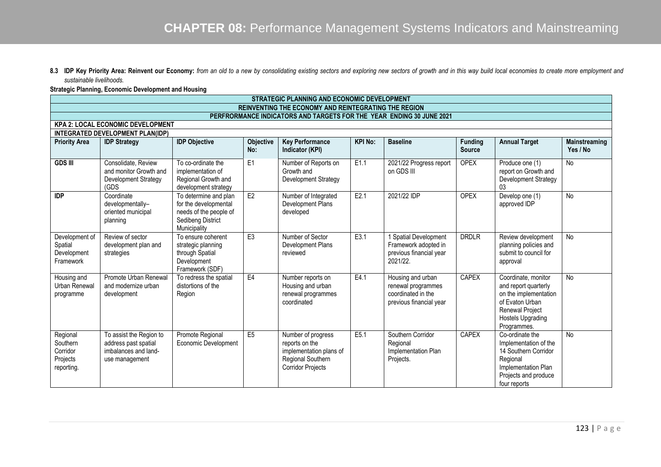8.3 IDP Key Priority Area: Reinvent our Economy: from an old to a new by consolidating existing sectors and exploring new sectors of growth and in this way build local economies to create more employment and *sustainable livelihoods.* 

### **Strategic Planning, Economic Development and Housing**

|                                                            | STRATEGIC PLANNING AND ECONOMIC DEVELOPMENT                                               |                                                                                                               |                         |                                                                                                                  |                  |                                                                                          |                                 |                                                                                                                                                |                           |  |  |  |
|------------------------------------------------------------|-------------------------------------------------------------------------------------------|---------------------------------------------------------------------------------------------------------------|-------------------------|------------------------------------------------------------------------------------------------------------------|------------------|------------------------------------------------------------------------------------------|---------------------------------|------------------------------------------------------------------------------------------------------------------------------------------------|---------------------------|--|--|--|
|                                                            |                                                                                           |                                                                                                               |                         | REINVENTING THE ECONOMY AND REINTEGRATING THE REGION                                                             |                  |                                                                                          |                                 |                                                                                                                                                |                           |  |  |  |
|                                                            |                                                                                           |                                                                                                               |                         | PERFRORMANCE INDICATORS AND TARGETS FOR THE YEAR ENDING 30 JUNE 2021                                             |                  |                                                                                          |                                 |                                                                                                                                                |                           |  |  |  |
|                                                            | <b>KPA 2: LOCAL ECONOMIC DEVELOPMENT</b>                                                  |                                                                                                               |                         |                                                                                                                  |                  |                                                                                          |                                 |                                                                                                                                                |                           |  |  |  |
|                                                            | INTEGRATED DEVELOPMENT PLAN(IDP)                                                          |                                                                                                               |                         |                                                                                                                  |                  |                                                                                          |                                 |                                                                                                                                                |                           |  |  |  |
| <b>Priority Area</b>                                       | <b>IDP Strategy</b>                                                                       | <b>IDP Objective</b>                                                                                          | <b>Objective</b><br>No: | <b>Key Performance</b><br>Indicator (KPI)                                                                        | <b>KPI No:</b>   | <b>Baseline</b>                                                                          | <b>Funding</b><br><b>Source</b> | <b>Annual Target</b>                                                                                                                           | Mainstreaming<br>Yes / No |  |  |  |
| <b>GDS III</b>                                             | Consolidate, Review<br>and monitor Growth and<br>Development Strategy<br>(GDS             | To co-ordinate the<br>implementation of<br>Regional Growth and<br>development strategy                        | E <sub>1</sub>          | Number of Reports on<br>Growth and<br>Development Strategy                                                       | E1.1             | 2021/22 Progress report<br>on GDS III                                                    | <b>OPEX</b>                     | Produce one (1)<br>report on Growth and<br>Development Strategy<br>03                                                                          | No                        |  |  |  |
| <b>IDP</b>                                                 | Coordinate<br>developmentally-<br>oriented municipal<br>planning                          | To determine and plan<br>for the developmental<br>needs of the people of<br>Sedibeng District<br>Municipality | E2                      | Number of Integrated<br>Development Plans<br>developed                                                           | E2.1             | 2021/22 IDP                                                                              | <b>OPEX</b>                     | Develop one (1)<br>approved IDP                                                                                                                | <b>No</b>                 |  |  |  |
| Development of<br>Spatial<br>Development<br>Framework      | Review of sector<br>development plan and<br>strategies                                    | To ensure coherent<br>strategic planning<br>through Spatial<br>Development<br>Framework (SDF)                 | E3                      | Number of Sector<br>Development Plans<br>reviewed                                                                | E3.1             | Spatial Development<br>Framework adopted in<br>previous financial year<br>2021/22.       | <b>DRDLR</b>                    | Review development<br>planning policies and<br>submit to council for<br>approval                                                               | No                        |  |  |  |
| Housing and<br>Urban Renewal<br>programme                  | Promote Urban Renewal<br>and modernize urban<br>development                               | To redress the spatial<br>distortions of the<br>Region                                                        | E4                      | Number reports on<br>Housing and urban<br>renewal programmes<br>coordinated                                      | E4.1             | Housing and urban<br>renewal programmes<br>coordinated in the<br>previous financial year | <b>CAPEX</b>                    | Coordinate, monitor<br>and report quarterly<br>on the implementation<br>of Evaton Urban<br>Renewal Project<br>Hostels Upgrading<br>Programmes. | <b>No</b>                 |  |  |  |
| Regional<br>Southern<br>Corridor<br>Projects<br>reporting. | To assist the Region to<br>address past spatial<br>imbalances and land-<br>use management | Promote Regional<br><b>Economic Development</b>                                                               | E <sub>5</sub>          | Number of progress<br>reports on the<br>implementation plans of<br>Regional Southern<br><b>Corridor Projects</b> | E <sub>5.1</sub> | Southern Corridor<br>Regional<br>Implementation Plan<br>Projects.                        | <b>CAPEX</b>                    | Co-ordinate the<br>Implementation of the<br>14 Southern Corridor<br>Regional<br>Implementation Plan<br>Projects and produce<br>four reports    | <b>No</b>                 |  |  |  |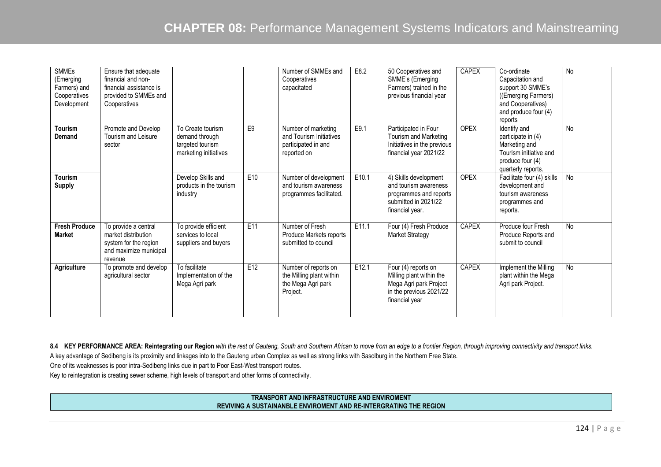| <b>SMMEs</b><br>(Emerging<br>Farmers) and<br>Cooperatives<br>Development | Ensure that adequate<br>financial and non-<br>financial assistance is<br>provided to SMMEs and<br>Cooperatives |                                                                                  |     | Number of SMMEs and<br>Cooperatives<br>capacitated                                   | E8.2  | 50 Cooperatives and<br>SMME's (Emerging<br>Farmers) trained in the<br>previous financial year                            | CAPEX        | Co-ordinate<br>Capacitation and<br>support 30 SMME's<br>((Emerging Farmers)<br>and Cooperatives)<br>and produce four $(4)$<br>reports | No        |
|--------------------------------------------------------------------------|----------------------------------------------------------------------------------------------------------------|----------------------------------------------------------------------------------|-----|--------------------------------------------------------------------------------------|-------|--------------------------------------------------------------------------------------------------------------------------|--------------|---------------------------------------------------------------------------------------------------------------------------------------|-----------|
| Tourism<br><b>Demand</b>                                                 | Promote and Develop<br>Tourism and Leisure<br>sector                                                           | To Create tourism<br>demand through<br>targeted tourism<br>marketing initiatives | E9  | Number of marketing<br>and Tourism Initiatives<br>participated in and<br>reported on | E9.1  | Participated in Four<br>Tourism and Marketing<br>Initiatives in the previous<br>financial year 2021/22                   | <b>OPEX</b>  | Identify and<br>participate in (4)<br>Marketing and<br>Tourism initiative and<br>produce four (4)<br>quarterly reports.               | <b>No</b> |
| Tourism<br><b>Supply</b>                                                 |                                                                                                                | Develop Skills and<br>products in the tourism<br>industry                        | E10 | Number of development<br>and tourism awareness<br>programmes facilitated.            | E10.1 | 4) Skills development<br>and tourism awareness<br>programmes and reports<br>submitted in 2021/22<br>financial year.      | <b>OPEX</b>  | Facilitate four (4) skills<br>development and<br>tourism awareness<br>programmes and<br>reports.                                      | <b>No</b> |
| <b>Fresh Produce</b><br><b>Market</b>                                    | To provide a central<br>market distribution<br>system for the region<br>and maximize municipal<br>revenue      | To provide efficient<br>services to local<br>suppliers and buyers                | E11 | Number of Fresh<br>Produce Markets reports<br>submitted to council                   | E11.1 | Four (4) Fresh Produce<br><b>Market Strategy</b>                                                                         | <b>CAPEX</b> | Produce four Fresh<br>Produce Reports and<br>submit to council                                                                        | <b>No</b> |
| Agriculture                                                              | To promote and develop<br>agricultural sector                                                                  | To facilitate<br>Implementation of the<br>Mega Agri park                         | E12 | Number of reports on<br>the Milling plant within<br>the Mega Agri park<br>Project.   | E12.1 | Four $(4)$ reports on<br>Milling plant within the<br>Mega Agri park Project<br>in the previous 2021/22<br>financial year | CAPEX        | Implement the Milling<br>plant within the Mega<br>Agri park Project.                                                                  | No        |

8.4 KEY PERFORMANCE AREA: Reintegrating our Region *with the rest of Gauteng, South and Southern African to move from an edge to a frontier Region, through improving connectivity and transport links.* A key advantage of Sedibeng is its proximity and linkages into to the Gauteng urban Complex as well as strong links with Sasolburg in the Northern Free State.

One of its weaknesses is poor intra-Sedibeng links due in part to Poor East-West transport routes.

Key to reintegration is creating sewer scheme, high levels of transport and other forms of connectivity.

### **TRANSPORT AND INFRASTRUCTURE AND ENVIROMENT REVIVING A SUSTAINANBLE ENVIROMENT AND RE-INTERGRATING THE REGION**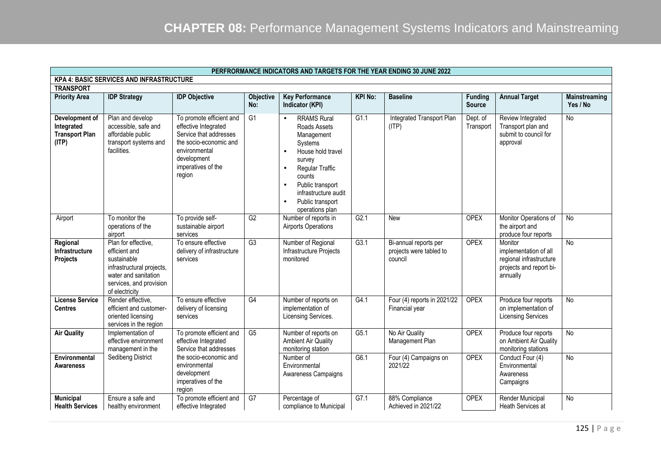|                                                                | PERFRORMANCE INDICATORS AND TARGETS FOR THE YEAR ENDING 30 JUNE 2022                                                                                  |                                                                                                                                                                      |                  |                                                                                                                                                                                                                                                                             |                |                                                             |                       |                                                                                                    |                |  |  |  |
|----------------------------------------------------------------|-------------------------------------------------------------------------------------------------------------------------------------------------------|----------------------------------------------------------------------------------------------------------------------------------------------------------------------|------------------|-----------------------------------------------------------------------------------------------------------------------------------------------------------------------------------------------------------------------------------------------------------------------------|----------------|-------------------------------------------------------------|-----------------------|----------------------------------------------------------------------------------------------------|----------------|--|--|--|
| <b>KPA 4: BASIC SERVICES AND INFRASTRUCTURE</b>                |                                                                                                                                                       |                                                                                                                                                                      |                  |                                                                                                                                                                                                                                                                             |                |                                                             |                       |                                                                                                    |                |  |  |  |
| <b>TRANSPORT</b><br><b>Priority Area</b>                       | <b>IDP Strategy</b>                                                                                                                                   | <b>IDP Objective</b>                                                                                                                                                 | <b>Objective</b> | <b>Key Performance</b>                                                                                                                                                                                                                                                      | <b>KPI No:</b> | <b>Baseline</b>                                             | <b>Funding</b>        | <b>Annual Target</b>                                                                               | Mainstreaming  |  |  |  |
|                                                                |                                                                                                                                                       |                                                                                                                                                                      | No:              | Indicator (KPI)                                                                                                                                                                                                                                                             |                |                                                             | <b>Source</b>         |                                                                                                    | Yes / No       |  |  |  |
| Development of<br>Integrated<br><b>Transport Plan</b><br>(ITP) | Plan and develop<br>accessible, safe and<br>affordable public<br>transport systems and<br>facilities.                                                 | To promote efficient and<br>effective Integrated<br>Service that addresses<br>the socio-economic and<br>environmental<br>development<br>imperatives of the<br>region | G <sub>1</sub>   | <b>RRAMS Rural</b><br>$\bullet$<br>Roads Assets<br>Management<br>Systems<br>House hold travel<br>$\bullet$<br>survey<br>Regular Traffic<br>$\bullet$<br>counts<br>Public transport<br>$\bullet$<br>infrastructure audit<br>Public transport<br>$\bullet$<br>operations plan | G1.1           | Integrated Transport Plan<br>(ITP)                          | Dept. of<br>Transport | Review Integrated<br>Transport plan and<br>submit to council for<br>approval                       | <b>No</b>      |  |  |  |
| Airport                                                        | To monitor the<br>operations of the<br>airport                                                                                                        | To provide self-<br>sustainable airport<br>services                                                                                                                  | G2               | Number of reports in<br><b>Airports Operations</b>                                                                                                                                                                                                                          | G2.1           | <b>New</b>                                                  | <b>OPEX</b>           | Monitor Operations of<br>the airport and<br>produce four reports                                   | <b>No</b>      |  |  |  |
| Regional<br>Infrastructure<br>Projects                         | Plan for effective,<br>efficient and<br>sustainable<br>infrastructural projects,<br>water and sanitation<br>services, and provision<br>of electricity | To ensure effective<br>delivery of infrastructure<br>services                                                                                                        | G3               | Number of Regional<br>Infrastructure Projects<br>monitored                                                                                                                                                                                                                  | G3.1           | Bi-annual reports per<br>projects were tabled to<br>council | <b>OPEX</b>           | Monitor<br>implementation of all<br>regional infrastructure<br>projects and report bi-<br>annually | <b>No</b>      |  |  |  |
| <b>License Service</b><br><b>Centres</b>                       | Render effective,<br>efficient and customer-<br>oriented licensing<br>services in the region                                                          | To ensure effective<br>delivery of licensing<br>services                                                                                                             | G4               | Number of reports on<br>implementation of<br>Licensing Services.                                                                                                                                                                                                            | G4.1           | Four (4) reports in 2021/22<br>Financial year               | <b>OPEX</b>           | Produce four reports<br>on implementation of<br><b>Licensing Services</b>                          | <b>No</b>      |  |  |  |
| <b>Air Quality</b>                                             | Implementation of<br>effective environment<br>management in the                                                                                       | To promote efficient and<br>effective Integrated<br>Service that addresses                                                                                           | G5               | Number of reports on<br><b>Ambient Air Quality</b><br>monitoring station                                                                                                                                                                                                    | G5.1           | No Air Quality<br>Management Plan                           | <b>OPEX</b>           | Produce four reports<br>on Ambient Air Quality<br>monitoring stations                              | $\overline{N}$ |  |  |  |
| Environmental<br><b>Awareness</b>                              | Sedibeng District                                                                                                                                     | the socio-economic and<br>environmental<br>development<br>imperatives of the<br>region                                                                               |                  | Number of<br>Environmental<br>Awareness Campaigns                                                                                                                                                                                                                           | G6.1           | Four (4) Campaigns on<br>2021/22                            | <b>OPEX</b>           | Conduct Four (4)<br>Environmental<br>Awareness<br>Campaigns                                        | <b>No</b>      |  |  |  |
| <b>Municipal</b><br><b>Health Services</b>                     | Ensure a safe and<br>healthy environment                                                                                                              | To promote efficient and<br>effective Integrated                                                                                                                     | G7               | Percentage of<br>compliance to Municipal                                                                                                                                                                                                                                    | G7.1           | 88% Compliance<br>Achieved in 2021/22                       | <b>OPEX</b>           | <b>Render Municipal</b><br>Heath Services at                                                       | <b>No</b>      |  |  |  |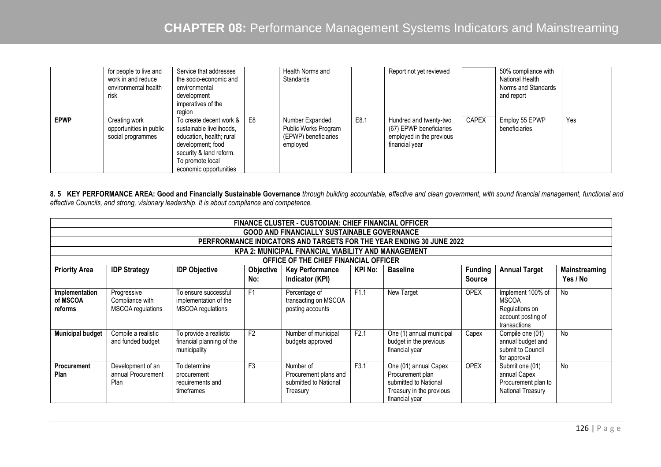|             | for people to live and<br>work in and reduce<br>environmental health<br>risk | Service that addresses<br>the socio-economic and<br>environmental<br>development<br>imperatives of the<br>region                                                                |    | Health Norms and<br>Standards                                               |      | Report not yet reviewed                                                                         |              | 50% compliance with<br>National Health<br>Norms and Standards<br>and report |     |
|-------------|------------------------------------------------------------------------------|---------------------------------------------------------------------------------------------------------------------------------------------------------------------------------|----|-----------------------------------------------------------------------------|------|-------------------------------------------------------------------------------------------------|--------------|-----------------------------------------------------------------------------|-----|
| <b>EPWP</b> | Creating work<br>opportunities in public<br>social programmes                | To create decent work & I<br>sustainable livelihoods.<br>education, health; rural<br>development; food<br>security & land reform.<br>To promote local<br>economic opportunities | E8 | Number Expanded<br>Public Works Program<br>(EPWP) beneficiaries<br>employed | E8.1 | Hundred and twenty-two<br>(67) EPWP beneficiaries<br>employed in the previous<br>financial year | <b>CAPEX</b> | Employ 55 EPWP<br>beneficiaries                                             | Yes |

8. 5 KEY PERFORMANCE AREA: Good and Financially Sustainable Governance through building accountable, effective and clean government, with sound financial management, functional and *effective Councils, and strong, visionary leadership. It is about compliance and competence.* 

|                                                                                                                                                                                                                                                  | <b>FINANCE CLUSTER - CUSTODIAN: CHIEF FINANCIAL OFFICER</b>          |                                                                     |                |                                                                         |      |                                                                                                                  |             |                                                                                           |               |  |  |  |  |
|--------------------------------------------------------------------------------------------------------------------------------------------------------------------------------------------------------------------------------------------------|----------------------------------------------------------------------|---------------------------------------------------------------------|----------------|-------------------------------------------------------------------------|------|------------------------------------------------------------------------------------------------------------------|-------------|-------------------------------------------------------------------------------------------|---------------|--|--|--|--|
|                                                                                                                                                                                                                                                  | <b>GOOD AND FINANCIALLY SUSTAINABLE GOVERNANCE</b>                   |                                                                     |                |                                                                         |      |                                                                                                                  |             |                                                                                           |               |  |  |  |  |
|                                                                                                                                                                                                                                                  | PERFRORMANCE INDICATORS AND TARGETS FOR THE YEAR ENDING 30 JUNE 2022 |                                                                     |                |                                                                         |      |                                                                                                                  |             |                                                                                           |               |  |  |  |  |
| KPA 2: MUNICIPAL FINANCIAL VIABILITY AND MANAGEMENT                                                                                                                                                                                              |                                                                      |                                                                     |                |                                                                         |      |                                                                                                                  |             |                                                                                           |               |  |  |  |  |
|                                                                                                                                                                                                                                                  |                                                                      |                                                                     |                | OFFICE OF THE CHIEF FINANCIAL OFFICER                                   |      |                                                                                                                  |             |                                                                                           |               |  |  |  |  |
| <b>Annual Target</b><br><b>Priority Area</b><br><b>IDP Strategy</b><br><b>IDP Objective</b><br>Objective<br><b>Funding</b><br><b>Key Performance</b><br><b>KPI No:</b><br><b>Baseline</b><br>Yes / No<br>No:<br>Indicator (KPI)<br><b>Source</b> |                                                                      |                                                                     |                |                                                                         |      |                                                                                                                  |             |                                                                                           | Mainstreaming |  |  |  |  |
| Implementation<br>of MSCOA<br>reforms                                                                                                                                                                                                            | Progressive<br>Compliance with<br><b>MSCOA</b> regulations           | To ensure successful<br>implementation of the<br>MSCOA regulations  | F <sub>1</sub> | Percentage of<br>transacting on MSCOA<br>posting accounts               | F1.1 | New Target                                                                                                       | <b>OPEX</b> | Implement 100% of<br><b>MSCOA</b><br>Regulations on<br>account posting of<br>transactions | <b>No</b>     |  |  |  |  |
| <b>Municipal budget</b>                                                                                                                                                                                                                          | Compile a realistic<br>and funded budget                             | To provide a realistic<br>financial planning of the<br>municipality | F <sub>2</sub> | Number of municipal<br>budgets approved                                 | F2.1 | One (1) annual municipal<br>budget in the previous<br>financial year                                             | Capex       | Compile one (01)<br>annual budget and<br>submit to Council<br>for approval                | <b>No</b>     |  |  |  |  |
| Procurement<br>Plan                                                                                                                                                                                                                              | Development of an<br>annual Procurement<br>Plan                      | To determine<br>procurement<br>requirements and<br>timeframes       | F <sub>3</sub> | Number of<br>Procurement plans and<br>submitted to National<br>Treasury | F3.1 | One (01) annual Capex<br>Procurement plan<br>submitted to National<br>Treasury in the previous<br>financial year | <b>OPEX</b> | Submit one (01)<br>annual Capex<br>Procurement plan to<br>National Treasury               | <b>No</b>     |  |  |  |  |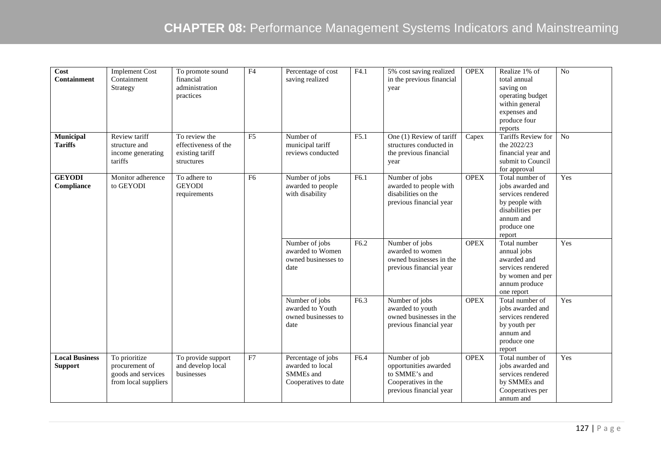| Cost<br><b>Containment</b>              | <b>Implement Cost</b><br>Containment<br>Strategy                              | To promote sound<br>financial<br>administration<br>practices           | F <sub>4</sub> | Percentage of cost<br>saving realized                                       | F4.1 | 5% cost saving realized<br>in the previous financial<br>year                                              | <b>OPEX</b> | Realize 1% of<br>total annual<br>saving on<br>operating budget<br>within general<br>expenses and<br>produce four<br>reports          | No  |
|-----------------------------------------|-------------------------------------------------------------------------------|------------------------------------------------------------------------|----------------|-----------------------------------------------------------------------------|------|-----------------------------------------------------------------------------------------------------------|-------------|--------------------------------------------------------------------------------------------------------------------------------------|-----|
| Municipal<br><b>Tariffs</b>             | Review tariff<br>structure and<br>income generating<br>tariffs                | To review the<br>effectiveness of the<br>existing tariff<br>structures | F <sub>5</sub> | Number of<br>municipal tariff<br>reviews conducted                          | F5.1 | One (1) Review of tariff<br>structures conducted in<br>the previous financial<br>year                     | Capex       | Tariffs Review for<br>the 2022/23<br>financial year and<br>submit to Council<br>for approval                                         | No  |
| <b>GEYODI</b><br>Compliance             | Monitor adherence<br>to GEYODI                                                | To adhere to<br><b>GEYODI</b><br>requirements                          | F6             | Number of jobs<br>awarded to people<br>with disability                      | F6.1 | Number of jobs<br>awarded to people with<br>disabilities on the<br>previous financial year                | <b>OPEX</b> | Total number of<br>jobs awarded and<br>services rendered<br>by people with<br>disabilities per<br>annum and<br>produce one<br>report | Yes |
|                                         |                                                                               |                                                                        |                | Number of jobs<br>awarded to Women<br>owned businesses to<br>date           | F6.2 | Number of jobs<br>awarded to women<br>owned businesses in the<br>previous financial year                  | <b>OPEX</b> | Total number<br>annual jobs<br>awarded and<br>services rendered<br>by women and per<br>annum produce<br>one report                   | Yes |
|                                         |                                                                               |                                                                        |                | Number of jobs<br>awarded to Youth<br>owned businesses to<br>date           | F6.3 | Number of jobs<br>awarded to youth<br>owned businesses in the<br>previous financial year                  | <b>OPEX</b> | Total number of<br>jobs awarded and<br>services rendered<br>by youth per<br>annum and<br>produce one<br>report                       | Yes |
| <b>Local Business</b><br><b>Support</b> | To prioritize<br>procurement of<br>goods and services<br>from local suppliers | To provide support<br>and develop local<br>businesses                  | ${\rm F}7$     | Percentage of jobs<br>awarded to local<br>SMMEs and<br>Cooperatives to date | F6.4 | Number of job<br>opportunities awarded<br>to SMME's and<br>Cooperatives in the<br>previous financial year | <b>OPEX</b> | Total number of<br>jobs awarded and<br>services rendered<br>by SMMEs and<br>Cooperatives per<br>annum and                            | Yes |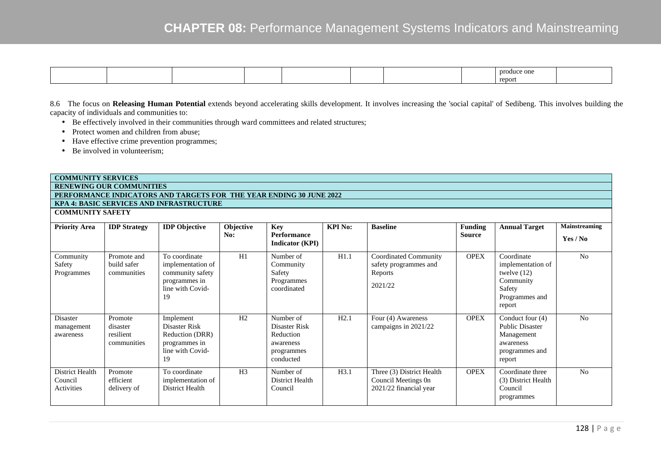| produce one<br>report |
|-----------------------|
|-----------------------|

8.6 The focus on **Releasing Human Potential** extends beyond accelerating skills development. It involves increasing the 'social capital' of Sedibeng. This involves building the capacity of individuals and communities to:

- Be effectively involved in their communities through ward committees and related structures;
- Protect women and children from abuse;
- Have effective crime prevention programmes;
- Be involved in volunteerism;

### **COMMUNITY SERVICES**

 **RENEWING OUR COMMUNITIES PERFORMANCE INDICATORS AND TARGETS FOR THE YEAR ENDING 30 JUNE 2022** 

#### **KPA 4: BASIC SERVICES AND INFRASTRUCTURE**

**COMMUNITY SAFETY** 

| <b>Priority Area</b>                     | <b>IDP</b> Strategy                             | <b>IDP</b> Objective                                                                              | Objective<br>No: | Key<br>Performance<br><b>Indicator</b> (KPI)                                    | <b>KPI No:</b> | <b>Baseline</b>                                                            | Funding<br>Source | <b>Annual Target</b>                                                                                | <b>Mainstreaming</b><br>Yes / No |
|------------------------------------------|-------------------------------------------------|---------------------------------------------------------------------------------------------------|------------------|---------------------------------------------------------------------------------|----------------|----------------------------------------------------------------------------|-------------------|-----------------------------------------------------------------------------------------------------|----------------------------------|
| Community<br>Safety<br>Programmes        | Promote and<br>build safer<br>communities       | To coordinate<br>implementation of<br>community safety<br>programmes in<br>line with Covid-<br>19 | H1               | Number of<br>Community<br>Safety<br>Programmes<br>coordinated                   | H1.1           | Coordinated Community<br>safety programmes and<br>Reports<br>2021/22       | <b>OPEX</b>       | Coordinate<br>implementation of<br>twelve $(12)$<br>Community<br>Safety<br>Programmes and<br>report | N <sub>0</sub>                   |
| Disaster<br>management<br>awareness      | Promote<br>disaster<br>resilient<br>communities | Implement<br>Disaster Risk<br>Reduction (DRR)<br>programmes in<br>line with Covid-<br>19          | H <sub>2</sub>   | Number of<br>Disaster Risk<br>Reduction<br>awareness<br>programmes<br>conducted | H2.1           | Four (4) Awareness<br>campaigns in 2021/22                                 | <b>OPEX</b>       | Conduct four (4)<br><b>Public Disaster</b><br>Management<br>awareness<br>programmes and<br>report   | N <sub>0</sub>                   |
| District Health<br>Council<br>Activities | Promote<br>efficient<br>delivery of             | To coordinate<br>implementation of<br>District Health                                             | H <sub>3</sub>   | Number of<br>District Health<br>Council                                         | H3.1           | Three (3) District Health<br>Council Meetings 0n<br>2021/22 financial year | <b>OPEX</b>       | Coordinate three<br>(3) District Health<br>Council<br>programmes                                    | N <sub>0</sub>                   |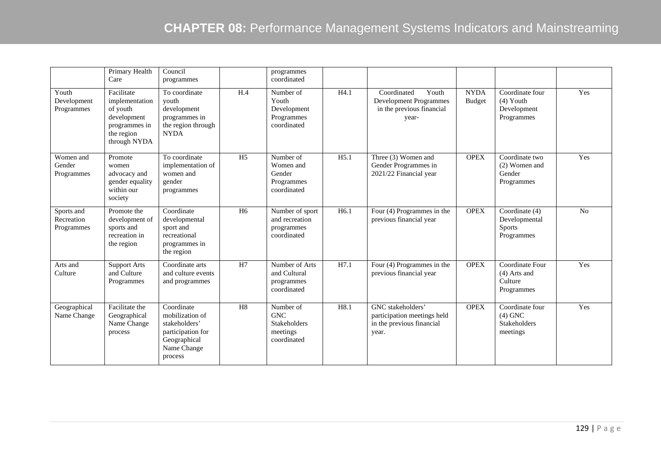|                                        | Primary Health<br>Care                                                                                 | Council<br>programmes                                                                                         |                | programmes<br>coordinated                                                 |                  |                                                                                             |                              |                                                                 |     |
|----------------------------------------|--------------------------------------------------------------------------------------------------------|---------------------------------------------------------------------------------------------------------------|----------------|---------------------------------------------------------------------------|------------------|---------------------------------------------------------------------------------------------|------------------------------|-----------------------------------------------------------------|-----|
| Youth<br>Development<br>Programmes     | Facilitate<br>implementation<br>of youth<br>development<br>programmes in<br>the region<br>through NYDA | To coordinate<br>youth<br>development<br>programmes in<br>the region through<br><b>NYDA</b>                   | H.4            | Number of<br>Youth<br>Development<br>Programmes<br>coordinated            | H4.1             | Coordinated<br>Youth<br><b>Development Programmes</b><br>in the previous financial<br>year- | <b>NYDA</b><br><b>Budget</b> | Coordinate four<br>$(4)$ Youth<br>Development<br>Programmes     | Yes |
| Women and<br>Gender<br>Programmes      | Promote<br>women<br>advocacy and<br>gender equality<br>within our<br>society                           | To coordinate<br>implementation of<br>women and<br>gender<br>programmes                                       | H <sub>5</sub> | Number of<br>Women and<br>Gender<br>Programmes<br>coordinated             | H5.1             | Three (3) Women and<br>Gender Programmes in<br>2021/22 Financial year                       | <b>OPEX</b>                  | Coordinate two<br>(2) Women and<br>Gender<br>Programmes         | Yes |
| Sports and<br>Recreation<br>Programmes | Promote the<br>development of<br>sports and<br>recreation in<br>the region                             | Coordinate<br>developmental<br>sport and<br>recreational<br>programmes in<br>the region                       | H <sub>6</sub> | Number of sport<br>and recreation<br>programmes<br>coordinated            | H <sub>6.1</sub> | Four (4) Programmes in the<br>previous financial year                                       | <b>OPEX</b>                  | Coordinate (4)<br>Developmental<br>Sports<br>Programmes         | No  |
| Arts and<br>Culture                    | <b>Support Arts</b><br>and Culture<br>Programmes                                                       | Coordinate arts<br>and culture events<br>and programmes                                                       | H7             | Number of Arts<br>and Cultural<br>programmes<br>coordinated               | H7.1             | Four (4) Programmes in the<br>previous financial year                                       | <b>OPEX</b>                  | Coordinate Four<br>(4) Arts and<br>Culture<br>Programmes        | Yes |
| Geographical<br>Name Change            | Facilitate the<br>Geographical<br>Name Change<br>process                                               | Coordinate<br>mobilization of<br>stakeholders'<br>participation for<br>Geographical<br>Name Change<br>process | H <sub>8</sub> | Number of<br><b>GNC</b><br><b>Stakeholders</b><br>meetings<br>coordinated | H8.1             | GNC stakeholders'<br>participation meetings held<br>in the previous financial<br>year.      | <b>OPEX</b>                  | Coordinate four<br>$(4)$ GNC<br><b>Stakeholders</b><br>meetings | Yes |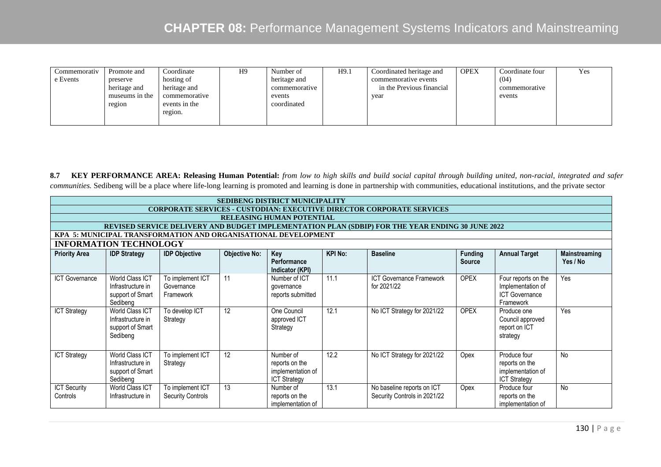| <b>OPEX</b><br>H9.1<br>H9<br>Number of<br>Coordinated heritage and<br>Coordinate<br>Promote and<br>Commemorativ<br>hosting of<br>e Events<br>heritage and<br>commemorative events<br>preserve<br>in the Previous financial<br>heritage and<br>heritage and<br>commemorative<br>museums in the<br>commemorative<br>events<br>year<br>events in the<br>coordinated<br>region<br>region. | Coordinate four<br>(04)<br>commemorative<br>events | Yes |
|---------------------------------------------------------------------------------------------------------------------------------------------------------------------------------------------------------------------------------------------------------------------------------------------------------------------------------------------------------------------------------------|----------------------------------------------------|-----|
|---------------------------------------------------------------------------------------------------------------------------------------------------------------------------------------------------------------------------------------------------------------------------------------------------------------------------------------------------------------------------------------|----------------------------------------------------|-----|

**8.7 KEY PERFORMANCE AREA: Releasing Human Potential:** *from low to high skills and build social capital through building united, non-racial, integrated and safer communities.* Sedibeng will be a place where life-long learning is promoted and learning is done in partnership with communities, educational institutions, and the private sector

|                                 |                                                                                                  |                                              |                      | <b>SEDIBENG DISTRICT MUNICIPALITY</b>                                   |                |                                                            |                                 |                                                                                |                                  |  |  |  |  |
|---------------------------------|--------------------------------------------------------------------------------------------------|----------------------------------------------|----------------------|-------------------------------------------------------------------------|----------------|------------------------------------------------------------|---------------------------------|--------------------------------------------------------------------------------|----------------------------------|--|--|--|--|
|                                 | <b>CORPORATE SERVICES - CUSTODIAN: EXECUTIVE DIRECTOR CORPORATE SERVICES</b>                     |                                              |                      |                                                                         |                |                                                            |                                 |                                                                                |                                  |  |  |  |  |
|                                 | <b>RELEASING HUMAN POTENTIAL</b>                                                                 |                                              |                      |                                                                         |                |                                                            |                                 |                                                                                |                                  |  |  |  |  |
|                                 | REVISED SERVICE DELIVERY AND BUDGET IMPLEMENTATION PLAN (SDBIP) FOR THE YEAR ENDING 30 JUNE 2022 |                                              |                      |                                                                         |                |                                                            |                                 |                                                                                |                                  |  |  |  |  |
|                                 | KPA 5: MUNICIPAL TRANSFORMATION AND ORGANISATIONAL DEVELOPMENT                                   |                                              |                      |                                                                         |                |                                                            |                                 |                                                                                |                                  |  |  |  |  |
|                                 | <b>INFORMATION TECHNOLOGY</b>                                                                    |                                              |                      |                                                                         |                |                                                            |                                 |                                                                                |                                  |  |  |  |  |
| <b>Priority Area</b>            | <b>IDP Strategy</b>                                                                              | <b>IDP Objective</b>                         | <b>Objective No:</b> | Key<br>Performance<br>Indicator (KPI)                                   | <b>KPI No:</b> | <b>Baseline</b>                                            | <b>Funding</b><br><b>Source</b> | <b>Annual Target</b>                                                           | <b>Mainstreaming</b><br>Yes / No |  |  |  |  |
| <b>ICT Governance</b>           | World Class ICT<br>Infrastructure in<br>support of Smart<br>Sedibeng                             | To implement ICT<br>Governance<br>Framework  | 11                   | Number of ICT<br>governance<br>reports submitted                        | 11.1           | ICT Governance Framework<br>for 2021/22                    | <b>OPEX</b>                     | Four reports on the<br>Implementation of<br><b>ICT Governance</b><br>Framework | Yes                              |  |  |  |  |
| <b>ICT Strategy</b>             | World Class ICT<br>Infrastructure in<br>support of Smart<br>Sedibeng                             | To develop ICT<br>Strategy                   | 12                   | One Council<br>approved ICT<br>Strategy                                 | 12.1           | No ICT Strategy for 2021/22                                | <b>OPEX</b>                     | Produce one<br>Council approved<br>report on ICT<br>strategy                   | Yes                              |  |  |  |  |
| <b>ICT Strategy</b>             | <b>World Class ICT</b><br>Infrastructure in<br>support of Smart<br>Sedibeng                      | To implement ICT<br>Strategy                 | 12                   | Number of<br>reports on the<br>implementation of<br><b>ICT Strategy</b> | 12.2           | No ICT Strategy for 2021/22                                | Opex                            | Produce four<br>reports on the<br>implementation of<br><b>ICT Strategy</b>     | <b>No</b>                        |  |  |  |  |
| <b>ICT Security</b><br>Controls | World Class ICT<br>Infrastructure in                                                             | To implement ICT<br><b>Security Controls</b> | 13                   | Number of<br>reports on the<br>implementation of                        | 13.1           | No baseline reports on ICT<br>Security Controls in 2021/22 | Opex                            | Produce four<br>reports on the<br>implementation of                            | <b>No</b>                        |  |  |  |  |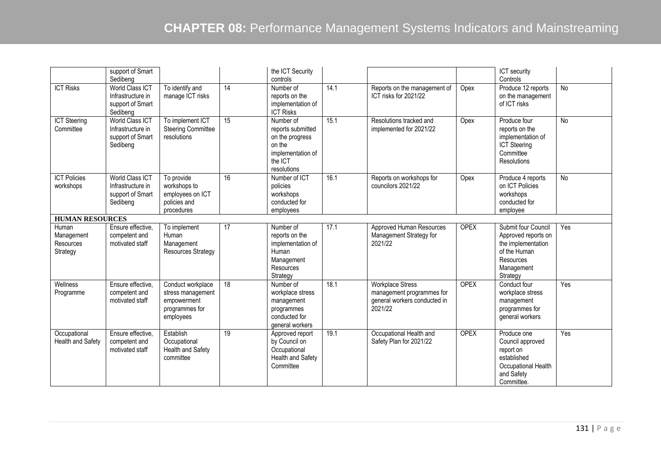|                                              | support of Smart<br>Sedibeng                                                |                                                                                      |                 | the ICT Security<br>controls                                                                               |      |                                                                                                 |             | ICT security<br>Controls                                                                                                |           |
|----------------------------------------------|-----------------------------------------------------------------------------|--------------------------------------------------------------------------------------|-----------------|------------------------------------------------------------------------------------------------------------|------|-------------------------------------------------------------------------------------------------|-------------|-------------------------------------------------------------------------------------------------------------------------|-----------|
| <b>ICT Risks</b>                             | <b>World Class ICT</b><br>Infrastructure in<br>support of Smart<br>Sedibeng | To identify and<br>manage ICT risks                                                  | $\overline{14}$ | Number of<br>reports on the<br>implementation of<br><b>ICT Risks</b>                                       | 14.1 | Reports on the management of<br>ICT risks for 2021/22                                           | Opex        | Produce 12 reports<br>on the management<br>of ICT risks                                                                 | <b>No</b> |
| <b>ICT Steering</b><br>Committee             | World Class ICT<br>Infrastructure in<br>support of Smart<br>Sedibeng        | To implement ICT<br><b>Steering Committee</b><br>resolutions                         | 15              | Number of<br>reports submitted<br>on the progress<br>on the<br>implementation of<br>the ICT<br>resolutions | 15.1 | Resolutions tracked and<br>implemented for 2021/22                                              | Opex        | Produce four<br>reports on the<br>implementation of<br><b>ICT</b> Steering<br>Committee<br><b>Resolutions</b>           | <b>No</b> |
| <b>ICT Policies</b><br>workshops             | <b>World Class ICT</b><br>Infrastructure in<br>support of Smart<br>Sedibeng | To provide<br>workshops to<br>employees on ICT<br>policies and<br>procedures         | 16              | Number of ICT<br>policies<br>workshops<br>conducted for<br>employees                                       | 16.1 | Reports on workshops for<br>councilors 2021/22                                                  | Opex        | Produce 4 reports<br>on ICT Policies<br>workshops<br>conducted for<br>employee                                          | <b>No</b> |
| <b>HUMAN RESOURCES</b>                       |                                                                             |                                                                                      |                 |                                                                                                            |      |                                                                                                 |             |                                                                                                                         |           |
| Human<br>Management<br>Resources<br>Strategy | Ensure effective,<br>competent and<br>motivated staff                       | To implement<br>Human<br>Management<br><b>Resources Strategy</b>                     | 17              | Number of<br>reports on the<br>implementation of<br>Human<br>Management<br>Resources<br>Strategy           | 17.1 | Approved Human Resources<br>Management Strategy for<br>2021/22                                  | <b>OPEX</b> | Submit four Council<br>Approved reports on<br>the implementation<br>of the Human<br>Resources<br>Management<br>Strategy | Yes       |
| Wellness<br>Programme                        | Ensure effective.<br>competent and<br>motivated staff                       | Conduct workplace<br>stress management<br>empowerment<br>programmes for<br>employees | 18              | Number of<br>workplace stress<br>management<br>programmes<br>conducted for<br>general workers              | 18.1 | <b>Workplace Stress</b><br>management programmes for<br>general workers conducted in<br>2021/22 | <b>OPEX</b> | Conduct four<br>workplace stress<br>management<br>programmes for<br>general workers                                     | Yes       |
| Occupational<br>Health and Safety            | Ensure effective.<br>competent and<br>motivated staff                       | Establish<br>Occupational<br>Health and Safety<br>committee                          | 19              | Approved report<br>by Council on<br>Occupational<br>Health and Safety<br>Committee                         | 19.1 | Occupational Health and<br>Safety Plan for 2021/22                                              | <b>OPEX</b> | Produce one<br>Council approved<br>report on<br>established<br>Occupational Health<br>and Safety<br>Committee.          | Yes       |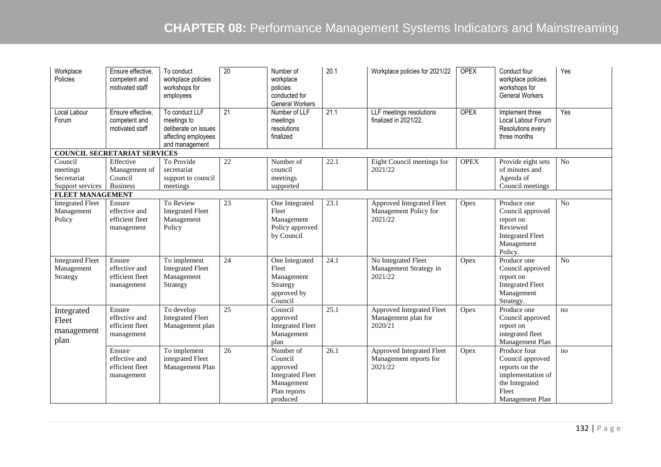| Workplace<br>Policies                                                             | Ensure effective.<br>competent and<br>motivated staff    | To conduct<br>workplace policies<br>workshops for<br>employees                                 | 20              | Number of<br>workplace<br>policies<br>conducted for<br><b>General Workers</b>                         | 20.1 | Workplace policies for 2021/22                                 | <b>OPEX</b> | Conduct four<br>workplace policies<br>workshops for<br><b>General Workers</b>                                         | Yes             |
|-----------------------------------------------------------------------------------|----------------------------------------------------------|------------------------------------------------------------------------------------------------|-----------------|-------------------------------------------------------------------------------------------------------|------|----------------------------------------------------------------|-------------|-----------------------------------------------------------------------------------------------------------------------|-----------------|
| Local Labour<br>Forum                                                             | Ensure effective.<br>competent and<br>motivated staff    | To conduct LLF<br>meetings to<br>deliberate on issues<br>affecting employees<br>and management | $\overline{21}$ | Number of LLF<br>meetings<br>resolutions<br>finalized                                                 | 21.1 | LLF meetings resolutions<br>finalized in 2021/22.              | <b>OPEX</b> | Implement three<br>Local Labour Forum<br>Resolutions every<br>three months                                            | Yes             |
|                                                                                   | <b>COUNCIL SECRETARIAT SERVICES</b>                      |                                                                                                |                 |                                                                                                       |      |                                                                |             |                                                                                                                       |                 |
| Council<br>meetings<br>Secretariat<br>Support services<br><b>FLEET MANAGEMENT</b> | Effective<br>Management of<br>Council<br><b>Business</b> | To Provide<br>secretariat<br>support to council<br>meetings                                    | 22              | Number of<br>council<br>meetings<br>supported                                                         | 22.1 | Eight Council meetings for<br>2021/22                          | <b>OPEX</b> | Provide eight sets<br>of minutes and<br>Agenda of<br>Council meetings                                                 | No              |
| <b>Integrated Fleet</b>                                                           | Ensure                                                   | To Review                                                                                      | 23              | One Integrated                                                                                        | 23.1 | Approved Integrated Fleet                                      | Opex        | Produce one                                                                                                           | No              |
| Management<br>Policy                                                              | effective and<br>efficient fleet<br>management           | <b>Integrated Fleet</b><br>Management<br>Policy                                                |                 | Fleet<br>Management<br>Policy approved<br>by Council                                                  |      | Management Policy for<br>2021/22                               |             | Council approved<br>report on<br>Reviewed<br><b>Integrated Fleet</b><br>Management<br>Policy.                         |                 |
| Integrated Fleet<br>Management<br>Strategy                                        | Ensure<br>effective and<br>efficient fleet<br>management | To implement<br><b>Integrated Fleet</b><br>Management<br>Strategy                              | $\overline{24}$ | One Integrated<br>Fleet<br>Management<br>Strategy<br>approved by<br>Council                           | 24.1 | No Integrated Fleet<br>Management Strategy in<br>2021/22       | Opex        | Produce one<br>Council approved<br>report on<br><b>Integrated Fleet</b><br>Management<br>Strategy.                    | $\overline{No}$ |
| Integrated<br>Fleet<br>management<br>plan                                         | Ensure<br>effective and<br>efficient fleet<br>management | To develop<br><b>Integrated Fleet</b><br>Management plan                                       | 25              | Council<br>approved<br><b>Integrated Fleet</b><br>Management<br>plan                                  | 25.1 | Approved Integrated Fleet<br>Management plan for<br>2020/21    | Opex        | Produce one<br>Council approved<br>report on<br>integrated fleet<br>Management Plan                                   | no              |
|                                                                                   | Ensure<br>effective and<br>efficient fleet<br>management | To implement<br>integrated Fleet<br>Management Plan                                            | 26              | Number of<br>Council<br>approved<br><b>Integrated Fleet</b><br>Management<br>Plan reports<br>produced | 26.1 | Approved Integrated Fleet<br>Management reports for<br>2021/22 | Opex        | Produce four<br>Council approved<br>reports on the<br>implementation of<br>the Integrated<br>Fleet<br>Management Plan | no              |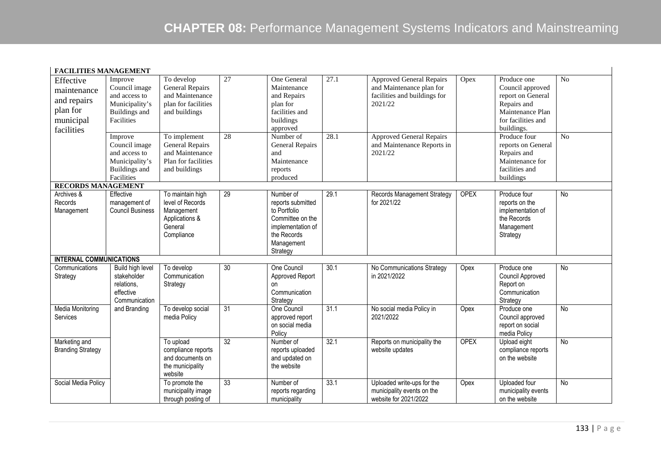| <b>FACILITIES MANAGEMENT</b>                                                   |                                                                                                   |                                                                                                   |                 |                                                                                                                                  |                   |                                                                                                        |             |                                                                                                                             |                |
|--------------------------------------------------------------------------------|---------------------------------------------------------------------------------------------------|---------------------------------------------------------------------------------------------------|-----------------|----------------------------------------------------------------------------------------------------------------------------------|-------------------|--------------------------------------------------------------------------------------------------------|-------------|-----------------------------------------------------------------------------------------------------------------------------|----------------|
| Effective<br>maintenance<br>and repairs<br>plan for<br>municipal<br>facilities | Improve<br>Council image<br>and access to<br>Municipality's<br><b>Buildings</b> and<br>Facilities | To develop<br><b>General Repairs</b><br>and Maintenance<br>plan for facilities<br>and buildings   | $\overline{27}$ | One General<br>Maintenance<br>and Repairs<br>plan for<br>facilities and<br>buildings<br>approved                                 | $\overline{27.1}$ | <b>Approved General Repairs</b><br>and Maintenance plan for<br>facilities and buildings for<br>2021/22 | Opex        | Produce one<br>Council approved<br>report on General<br>Repairs and<br>Maintenance Plan<br>for facilities and<br>buildings. | N <sub>o</sub> |
|                                                                                | Improve<br>Council image<br>and access to<br>Municipality's<br>Buildings and<br>Facilities        | To implement<br><b>General Repairs</b><br>and Maintenance<br>Plan for facilities<br>and buildings | 28              | Number of<br>General Repairs<br>and<br>Maintenance<br>reports<br>produced                                                        | 28.1              | <b>Approved General Repairs</b><br>and Maintenance Reports in<br>2021/22                               |             | Produce four<br>reports on General<br>Repairs and<br>Maintenance for<br>facilities and<br>buildings                         | No             |
| <b>RECORDS MANAGEMENT</b>                                                      |                                                                                                   |                                                                                                   |                 |                                                                                                                                  |                   |                                                                                                        |             |                                                                                                                             |                |
| Archives &<br>Records<br>Management                                            | Effective<br>management of<br><b>Council Business</b>                                             | To maintain high<br>level of Records<br>Management<br>Applications &<br>General<br>Compliance     | 29              | Number of<br>reports submitted<br>to Portfolio<br>Committee on the<br>implementation of<br>the Records<br>Management<br>Strategy | 29.1              | Records Management Strategy<br>for 2021/22                                                             | <b>OPEX</b> | Produce four<br>reports on the<br>implementation of<br>the Records<br>Management<br>Strategy                                | No             |
| <b>INTERNAL COMMUNICATIONS</b>                                                 |                                                                                                   |                                                                                                   |                 |                                                                                                                                  |                   |                                                                                                        |             |                                                                                                                             |                |
| Communications<br>Strategy                                                     | Build high level<br>stakeholder<br>relations,<br>effective<br>Communication                       | To develop<br>Communication<br>Strategy                                                           | $\overline{30}$ | One Council<br>Approved Report<br>on<br>Communication<br>Strategy                                                                | 30.1              | No Communications Strategy<br>in 2021/2022                                                             | Opex        | Produce one<br>Council Approved<br>Report on<br>Communication<br>Strategy                                                   | No             |
| <b>Media Monitoring</b><br>Services                                            | and Branding                                                                                      | To develop social<br>media Policy                                                                 | 31              | One Council<br>approved report<br>on social media<br>Policy                                                                      | 31.1              | No social media Policy in<br>2021/2022                                                                 | Opex        | Produce one<br>Council approved<br>report on social<br>media Policy                                                         | <b>No</b>      |
| Marketing and<br><b>Branding Strategy</b>                                      |                                                                                                   | To upload<br>compliance reports<br>and documents on<br>the municipality<br>website                | 32              | Number of<br>reports uploaded<br>and updated on<br>the website                                                                   | 32.1              | Reports on municipality the<br>website updates                                                         | <b>OPEX</b> | Upload eight<br>compliance reports<br>on the website                                                                        | No             |
| Social Media Policy                                                            |                                                                                                   | To promote the<br>municipality image<br>through posting of                                        | 33              | Number of<br>reports regarding<br>municipality                                                                                   | 33.1              | Uploaded write-ups for the<br>municipality events on the<br>website for 2021/2022                      | Opex        | Uploaded four<br>municipality events<br>on the website                                                                      | <b>No</b>      |